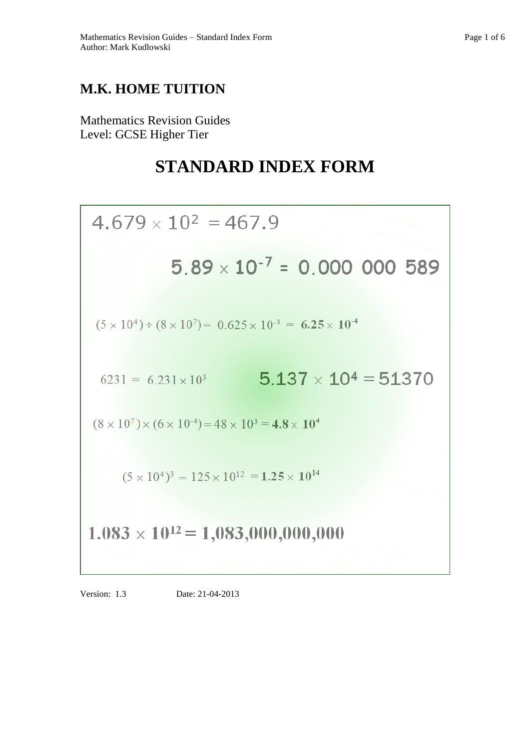# **M.K. HOME TUITION**

Mathematics Revision Guides Level: GCSE Higher Tier

# **STANDARD INDEX FORM**

$$
4.679 \times 10^{2} = 467.9
$$
\n
$$
5.89 \times 10^{-7} = 0.000\ 000\ 589
$$
\n
$$
(5 \times 10^{4}) \div (8 \times 10^{7}) = 0.625 \times 10^{3} = 6.25 \times 10^{4}
$$
\n
$$
6231 = 6.231 \times 10^{3} \qquad 5.137 \times 10^{4} = 51370
$$
\n
$$
(8 \times 10^{7}) \times (6 \times 10^{4}) = 48 \times 10^{3} = 4.8 \times 10^{4}
$$
\n
$$
(5 \times 10^{4})^{3} = 125 \times 10^{12} = 1.25 \times 10^{14}
$$
\n
$$
1.083 \times 10^{12} = 1,083,000,000,000
$$

Version: 1.3 Date: 21-04-2013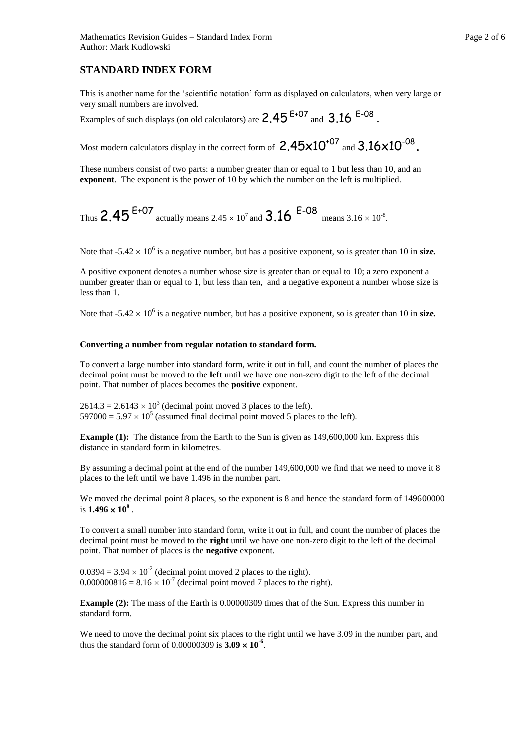# **STANDARD INDEX FORM**

This is another name for the 'scientific notation' form as displayed on calculators, when very large or very small numbers are involved.

Examples of such displays (on old calculators) are  $2.45$   $^{\text{E+07}}$  and  $3.16$   $^{\text{E-08}}$  .

Most modern calculators display in the correct form of  $2.45 \times 10^{+07}$  and  $3.16 \times 10^{-08}$  .

These numbers consist of two parts: a number greater than or equal to 1 but less than 10, and an **exponent**. The exponent is the power of 10 by which the number on the left is multiplied.

Thus 
$$
2.45^{E+07}
$$
 actually means  $2.45 \times 10^7$  and  $3.16^{E-08}$  means  $3.16 \times 10^{-8}$ .

Note that  $-5.42 \times 10^6$  is a negative number, but has a positive exponent, so is greater than 10 in size.

A positive exponent denotes a number whose size is greater than or equal to 10; a zero exponent a number greater than or equal to 1, but less than ten, and a negative exponent a number whose size is less than 1.

Note that  $-5.42 \times 10^6$  is a negative number, but has a positive exponent, so is greater than 10 in size.

#### **Converting a number from regular notation to standard form.**

To convert a large number into standard form, write it out in full, and count the number of places the decimal point must be moved to the **left** until we have one non-zero digit to the left of the decimal point. That number of places becomes the **positive** exponent.

 $2614.3 = 2.6143 \times 10^3$  (decimal point moved 3 places to the left).  $597000 = 5.97 \times 10^5$  (assumed final decimal point moved 5 places to the left).

**Example (1):** The distance from the Earth to the Sun is given as  $149,600,000$  km. Express this distance in standard form in kilometres.

By assuming a decimal point at the end of the number 149,600,000 we find that we need to move it 8 places to the left until we have 1.496 in the number part.

We moved the decimal point 8 places, so the exponent is 8 and hence the standard form of 149600000 is  $1.496 \times 10^8$ .

To convert a small number into standard form, write it out in full, and count the number of places the decimal point must be moved to the **right** until we have one non-zero digit to the left of the decimal point. That number of places is the **negative** exponent.

 $0.0394 = 3.94 \times 10^{-2}$  (decimal point moved 2 places to the right).  $0.000000816 = 8.16 \times 10^{-7}$  (decimal point moved 7 places to the right).

**Example (2):** The mass of the Earth is 0.00000309 times that of the Sun. Express this number in standard form.

We need to move the decimal point six places to the right until we have 3.09 in the number part, and thus the standard form of  $0.00000309$  is  $3.09 \times 10^{-6}$ .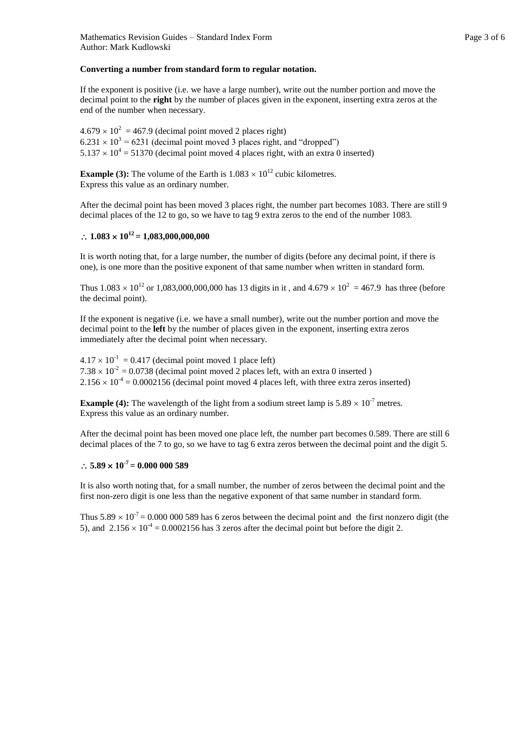#### **Converting a number from standard form to regular notation.**

If the exponent is positive (i.e. we have a large number), write out the number portion and move the decimal point to the **right** by the number of places given in the exponent, inserting extra zeros at the end of the number when necessary.

 $4.679 \times 10^2 = 467.9$  (decimal point moved 2 places right)  $6.231 \times 10^3$  = 6231 (decimal point moved 3 places right, and "dropped")  $5.137 \times 10^4 = 51370$  (decimal point moved 4 places right, with an extra 0 inserted)

**Example (3):** The volume of the Earth is  $1.083 \times 10^{12}$  cubic kilometres. Express this value as an ordinary number.

After the decimal point has been moved 3 places right, the number part becomes 1083. There are still 9 decimal places of the 12 to go, so we have to tag 9 extra zeros to the end of the number 1083.

## $\therefore$  1.083  $\times$  10<sup>12</sup> = 1,083,000,000,000

It is worth noting that, for a large number, the number of digits (before any decimal point, if there is one), is one more than the positive exponent of that same number when written in standard form.

Thus  $1.083 \times 10^{12}$  or  $1.083,000,000,000$  has 13 digits in it, and  $4.679 \times 10^{2} = 467.9$  has three (before the decimal point).

If the exponent is negative (i.e. we have a small number), write out the number portion and move the decimal point to the **left** by the number of places given in the exponent, inserting extra zeros immediately after the decimal point when necessary.

 $4.17 \times 10^{-1} = 0.417$  (decimal point moved 1 place left)  $7.38 \times 10^{-2} = 0.0738$  (decimal point moved 2 places left, with an extra 0 inserted )  $2.156 \times 10^{-4} = 0.0002156$  (decimal point moved 4 places left, with three extra zeros inserted)

**Example (4):** The wavelength of the light from a sodium street lamp is  $5.89 \times 10^{-7}$  metres. Express this value as an ordinary number.

After the decimal point has been moved one place left, the number part becomes 0.589. There are still 6 decimal places of the 7 to go, so we have to tag 6 extra zeros between the decimal point and the digit 5.

## $\therefore$  5.89  $\times$  10<sup>-7</sup> = 0.000 000 589

It is also worth noting that, for a small number, the number of zeros between the decimal point and the first non-zero digit is one less than the negative exponent of that same number in standard form.

Thus  $5.89 \times 10^{-7} = 0.000\,000\,589$  has 6 zeros between the decimal point and the first nonzero digit (the 5), and  $2.156 \times 10^{-4} = 0.0002156$  has 3 zeros after the decimal point but before the digit 2.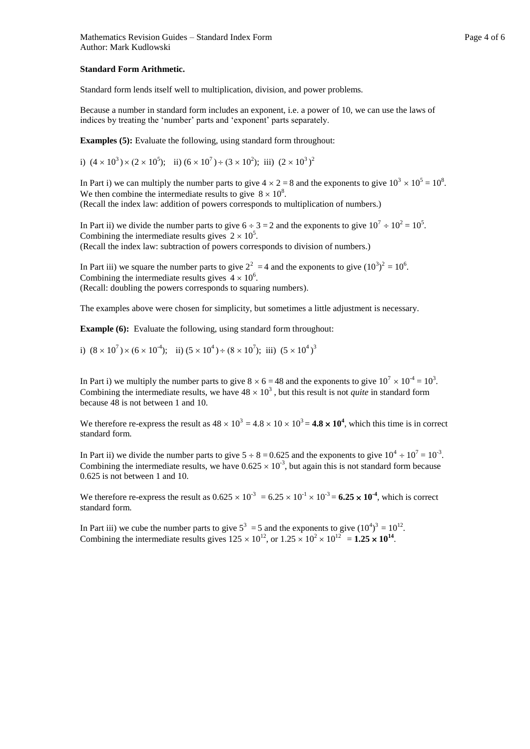#### **Standard Form Arithmetic.**

Standard form lends itself well to multiplication, division, and power problems.

Because a number in standard form includes an exponent, i.e. a power of 10, we can use the laws of indices by treating the 'number' parts and 'exponent' parts separately.

**Examples (5):** Evaluate the following, using standard form throughout:

i)  $(4 \times 10^3) \times (2 \times 10^5)$ ; ii)  $(6 \times 10^7) \div (3 \times 10^2)$ ; iii)  $(2 \times 10^3)^2$ 

In Part i) we can multiply the number parts to give  $4 \times 2 = 8$  and the exponents to give  $10^3 \times 10^5 = 10^8$ . We then combine the intermediate results to give  $8 \times 10^8$ . (Recall the index law: addition of powers corresponds to multiplication of numbers.)

In Part ii) we divide the number parts to give  $6 \div 3 = 2$  and the exponents to give  $10^7 \div 10^2 = 10^5$ . Combining the intermediate results gives  $2 \times 10^5$ . (Recall the index law: subtraction of powers corresponds to division of numbers.)

In Part iii) we square the number parts to give  $2^2 = 4$  and the exponents to give  $(10^3)^2 = 10^6$ . Combining the intermediate results gives  $4 \times 10^6$ . (Recall: doubling the powers corresponds to squaring numbers).

The examples above were chosen for simplicity, but sometimes a little adjustment is necessary.

**Example (6):** Evaluate the following, using standard form throughout:

i)  $(8 \times 10^7) \times (6 \times 10^4)$ ; ii)  $(5 \times 10^4) \div (8 \times 10^7)$ ; iii)  $(5 \times 10^4)$ <sup>3</sup>

In Part i) we multiply the number parts to give  $8 \times 6 = 48$  and the exponents to give  $10^7 \times 10^{-4} = 10^3$ . Combining the intermediate results, we have  $48 \times 10^3$ , but this result is not *quite* in standard form because 48 is not between 1 and 10.

We therefore re-express the result as  $48 \times 10^3 = 4.8 \times 10 \times 10^3 = 4.8 \times 10^4$ , which this time is in correct standard form.

In Part ii) we divide the number parts to give  $5 \div 8 = 0.625$  and the exponents to give  $10^4 \div 10^7 = 10^{-3}$ . Combining the intermediate results, we have  $0.625 \times 10^{-3}$ , but again this is not standard form because 0.625 is not between 1 and 10.

We therefore re-express the result as  $0.625 \times 10^{-3} = 6.25 \times 10^{-1} \times 10^{-3} = 6.25 \times 10^{-4}$ , which is correct standard form.

In Part iii) we cube the number parts to give  $5^3 = 5$  and the exponents to give  $(10^4)^3 = 10^{12}$ . Combining the intermediate results gives  $125 \times 10^{12}$ , or  $1.25 \times 10^{2} \times 10^{12} = 1.25 \times 10^{14}$ .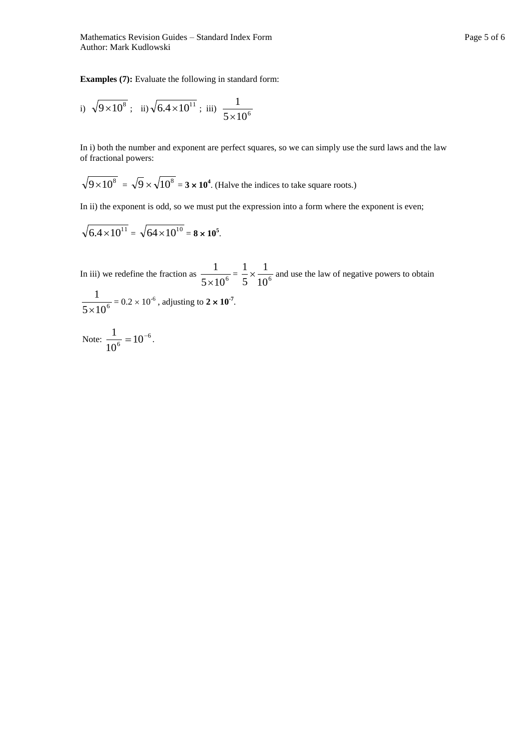Mathematics Revision Guides – Standard Index Form Page 5 of 6 Author: Mark Kudlowski

**Examples (7):** Evaluate the following in standard form:

i) 
$$
\sqrt{9 \times 10^8}
$$
; ii)  $\sqrt{6.4 \times 10^{11}}$ ; iii)  $\frac{1}{5 \times 10^6}$ 

In i) both the number and exponent are perfect squares, so we can simply use the surd laws and the law of fractional powers:

$$
\sqrt{9 \times 10^8} = \sqrt{9} \times \sqrt{10^8} = 3 \times 10^4
$$
. (Halve the indices to take square roots.)

In ii) the exponent is odd, so we must put the expression into a form where the exponent is even;

$$
\sqrt{6.4 \times 10^{11}} = \sqrt{64 \times 10^{10}} = 8 \times 10^5.
$$

In iii) we redefine the fraction as  $\frac{1}{5 \times 10^6}$ 1  $\frac{1}{\times 10^6} = \frac{1}{5} \times \frac{1}{10^6}$ 1 5  $\frac{1}{x} \times \frac{1}{x}$  and use the law of negative powers to obtain 1

$$
\frac{1}{5 \times 10^6} = 0.2 \times 10^{-6}
$$
, adjusting to  $2 \times 10^{-7}$ .

Note: 
$$
\frac{1}{10^6} = 10^{-6}
$$
.